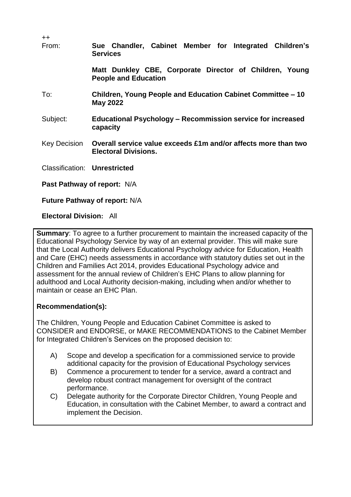| $++$<br>From:                       | Sue Chandler, Cabinet Member for Integrated Children's<br><b>Services</b>                     |  |  |
|-------------------------------------|-----------------------------------------------------------------------------------------------|--|--|
|                                     | Matt Dunkley CBE, Corporate Director of Children, Young<br><b>People and Education</b>        |  |  |
| To:                                 | Children, Young People and Education Cabinet Committee – 10<br><b>May 2022</b>                |  |  |
| Subject:                            | <b>Educational Psychology – Recommission service for increased</b><br>capacity                |  |  |
| Key Decision                        | Overall service value exceeds £1m and/or affects more than two<br><b>Electoral Divisions.</b> |  |  |
| <b>Classification: Unrestricted</b> |                                                                                               |  |  |
| Past Pathway of report: N/A         |                                                                                               |  |  |

**Future Pathway of report:** N/A

### **Electoral Division:** All

**Summary**: To agree to a further procurement to maintain the increased capacity of the Educational Psychology Service by way of an external provider. This will make sure that the Local Authority delivers Educational Psychology advice for Education, Health and Care (EHC) needs assessments in accordance with statutory duties set out in the Children and Families Act 2014, provides Educational Psychology advice and assessment for the annual review of Children's EHC Plans to allow planning for adulthood and Local Authority decision-making, including when and/or whether to maintain or cease an EHC Plan.

## **Recommendation(s):**

The Children, Young People and Education Cabinet Committee is asked to CONSIDER and ENDORSE, or MAKE RECOMMENDATIONS to the Cabinet Member for Integrated Children's Services on the proposed decision to:

- A) Scope and develop a specification for a commissioned service to provide additional capacity for the provision of Educational Psychology services
- B) Commence a procurement to tender for a service, award a contract and develop robust contract management for oversight of the contract performance.
- C) Delegate authority for the Corporate Director Children, Young People and Education, in consultation with the Cabinet Member, to award a contract and implement the Decision.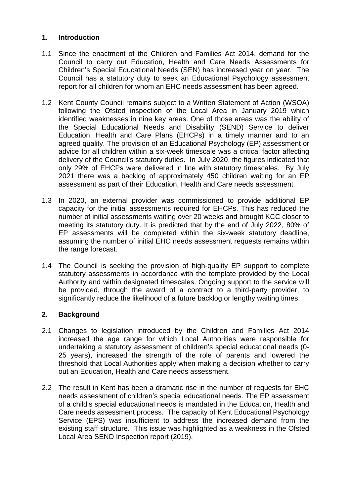## **1. Introduction**

- 1.1 Since the enactment of the Children and Families Act 2014, demand for the Council to carry out Education, Health and Care Needs Assessments for Children's Special Educational Needs (SEN) has increased year on year. The Council has a statutory duty to seek an Educational Psychology assessment report for all children for whom an EHC needs assessment has been agreed.
- 1.2 Kent County Council remains subject to a Written Statement of Action (WSOA) following the Ofsted inspection of the Local Area in January 2019 which identified weaknesses in nine key areas. One of those areas was the ability of the Special Educational Needs and Disability (SEND) Service to deliver Education, Health and Care Plans (EHCPs) in a timely manner and to an agreed quality. The provision of an Educational Psychology (EP) assessment or advice for all children within a six-week timescale was a critical factor affecting delivery of the Council's statutory duties. In July 2020, the figures indicated that only 29% of EHCPs were delivered in line with statutory timescales. By July 2021 there was a backlog of approximately 450 children waiting for an EP assessment as part of their Education, Health and Care needs assessment.
- 1.3 In 2020, an external provider was commissioned to provide additional EP capacity for the initial assessments required for EHCPs. This has reduced the number of initial assessments waiting over 20 weeks and brought KCC closer to meeting its statutory duty. It is predicted that by the end of July 2022, 80% of EP assessments will be completed within the six-week statutory deadline, assuming the number of initial EHC needs assessment requests remains within the range forecast.
- 1.4 The Council is seeking the provision of high-quality EP support to complete statutory assessments in accordance with the template provided by the Local Authority and within designated timescales. Ongoing support to the service will be provided, through the award of a contract to a third-party provider, to significantly reduce the likelihood of a future backlog or lengthy waiting times.

## **2. Background**

- 2.1 Changes to legislation introduced by the Children and Families Act 2014 increased the age range for which Local Authorities were responsible for undertaking a statutory assessment of children's special educational needs (0- 25 years), increased the strength of the role of parents and lowered the threshold that Local Authorities apply when making a decision whether to carry out an Education, Health and Care needs assessment.
- 2.2 The result in Kent has been a dramatic rise in the number of requests for EHC needs assessment of children's special educational needs. The EP assessment of a child's special educational needs is mandated in the Education, Health and Care needs assessment process. The capacity of Kent Educational Psychology Service (EPS) was insufficient to address the increased demand from the existing staff structure. This issue was highlighted as a weakness in the Ofsted Local Area SEND Inspection report (2019).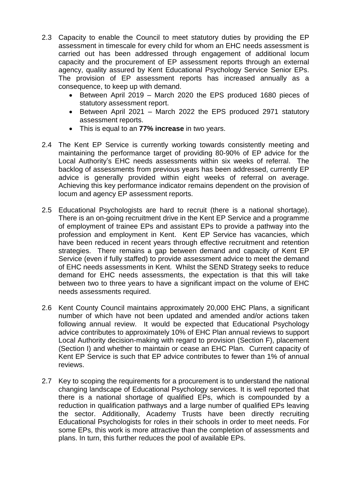- 2.3 Capacity to enable the Council to meet statutory duties by providing the EP assessment in timescale for every child for whom an EHC needs assessment is carried out has been addressed through engagement of additional locum capacity and the procurement of EP assessment reports through an external agency, quality assured by Kent Educational Psychology Service Senior EPs. The provision of EP assessment reports has increased annually as a consequence, to keep up with demand.
	- Between April 2019 March 2020 the EPS produced 1680 pieces of statutory assessment report.
	- Between April 2021 March 2022 the EPS produced 2971 statutory assessment reports.
	- This is equal to an **77% increase** in two years.
- 2.4 The Kent EP Service is currently working towards consistently meeting and maintaining the performance target of providing 80-90% of EP advice for the Local Authority's EHC needs assessments within six weeks of referral. The backlog of assessments from previous years has been addressed, currently EP advice is generally provided within eight weeks of referral on average. Achieving this key performance indicator remains dependent on the provision of locum and agency EP assessment reports.
- 2.5 Educational Psychologists are hard to recruit (there is a national shortage). There is an on-going recruitment drive in the Kent EP Service and a programme of employment of trainee EPs and assistant EPs to provide a pathway into the profession and employment in Kent. Kent EP Service has vacancies, which have been reduced in recent years through effective recruitment and retention strategies. There remains a gap between demand and capacity of Kent EP Service (even if fully staffed) to provide assessment advice to meet the demand of EHC needs assessments in Kent. Whilst the SEND Strategy seeks to reduce demand for EHC needs assessments, the expectation is that this will take between two to three years to have a significant impact on the volume of EHC needs assessments required.
- 2.6 Kent County Council maintains approximately 20,000 EHC Plans, a significant number of which have not been updated and amended and/or actions taken following annual review. It would be expected that Educational Psychology advice contributes to approximately 10% of EHC Plan annual reviews to support Local Authority decision-making with regard to provision (Section F), placement (Section I) and whether to maintain or cease an EHC Plan. Current capacity of Kent EP Service is such that EP advice contributes to fewer than 1% of annual reviews.
- 2.7 Key to scoping the requirements for a procurement is to understand the national changing landscape of Educational Psychology services. It is well reported that there is a national shortage of qualified EPs, which is compounded by a reduction in qualification pathways and a large number of qualified EPs leaving the sector. Additionally, Academy Trusts have been directly recruiting Educational Psychologists for roles in their schools in order to meet needs. For some EPs, this work is more attractive than the completion of assessments and plans. In turn, this further reduces the pool of available EPs.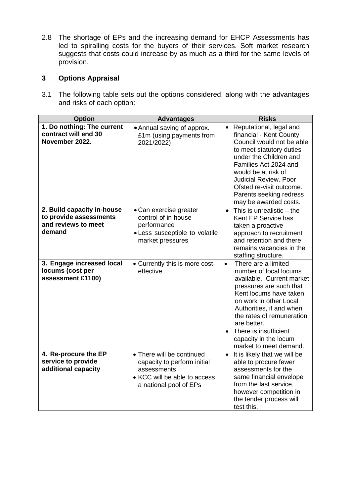2.8 The shortage of EPs and the increasing demand for EHCP Assessments has led to spiralling costs for the buyers of their services. Soft market research suggests that costs could increase by as much as a third for the same levels of provision.

# **3 Options Appraisal**

3.1 The following table sets out the options considered, along with the advantages and risks of each option:

| <b>Option</b>                                                                         | <b>Advantages</b>                                                                                                                 | <b>Risks</b>                                                                                                                                                                                                                                                                                                               |
|---------------------------------------------------------------------------------------|-----------------------------------------------------------------------------------------------------------------------------------|----------------------------------------------------------------------------------------------------------------------------------------------------------------------------------------------------------------------------------------------------------------------------------------------------------------------------|
| 1. Do nothing: The current<br>contract will end 30<br>November 2022.                  | • Annual saving of approx.<br>£1m (using payments from<br>2021/2022)                                                              | • Reputational, legal and<br>financial - Kent County<br>Council would not be able<br>to meet statutory duties<br>under the Children and<br>Families Act 2024 and<br>would be at risk of<br><b>Judicial Review. Poor</b><br>Ofsted re-visit outcome.<br>Parents seeking redress<br>may be awarded costs.                    |
| 2. Build capacity in-house<br>to provide assessments<br>and reviews to meet<br>demand | • Can exercise greater<br>control of in-house<br>performance<br>• Less susceptible to volatile<br>market pressures                | This is unrealistic - the<br>$\bullet$<br>Kent EP Service has<br>taken a proactive<br>approach to recruitment<br>and retention and there<br>remains vacancies in the<br>staffing structure.                                                                                                                                |
| 3. Engage increased local<br>locums (cost per<br>assessment £1100)                    | • Currently this is more cost-<br>effective                                                                                       | There are a limited<br>$\bullet$<br>number of local locums<br>available. Current market<br>pressures are such that<br>Kent locums have taken<br>on work in other Local<br>Authorities, if and when<br>the rates of remuneration<br>are better.<br>There is insufficient<br>capacity in the locum<br>market to meet demand. |
| 4. Re-procure the EP<br>service to provide<br>additional capacity                     | • There will be continued<br>capacity to perform initial<br>assessments<br>• KCC will be able to access<br>a national pool of EPs | It is likely that we will be<br>$\bullet$<br>able to procure fewer<br>assessments for the<br>same financial envelope<br>from the last service,<br>however competition in<br>the tender process will<br>test this.                                                                                                          |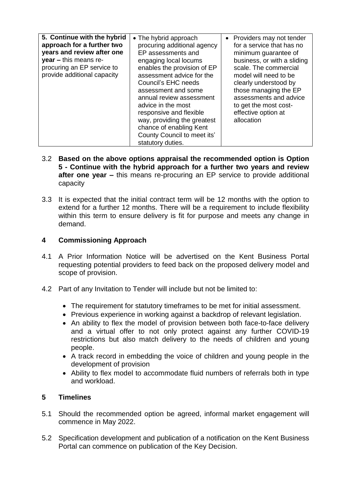| 5. Continue with the hybrid<br>approach for a further two<br>years and review after one<br>$year - this means re-$<br>procuring an EP service to<br>provide additional capacity | • The hybrid approach<br>procuring additional agency<br>EP assessments and<br>engaging local locums<br>enables the provision of EP<br>assessment advice for the<br>Council's EHC needs<br>assessment and some<br>annual review assessment<br>advice in the most<br>responsive and flexible<br>way, providing the greatest<br>chance of enabling Kent<br>County Council to meet its'<br>statutory duties. | • Providers may not tender<br>for a service that has no<br>minimum guarantee of<br>business, or with a sliding<br>scale. The commercial<br>model will need to be<br>clearly understood by<br>those managing the EP<br>assessments and advice<br>to get the most cost-<br>effective option at<br>allocation |
|---------------------------------------------------------------------------------------------------------------------------------------------------------------------------------|----------------------------------------------------------------------------------------------------------------------------------------------------------------------------------------------------------------------------------------------------------------------------------------------------------------------------------------------------------------------------------------------------------|------------------------------------------------------------------------------------------------------------------------------------------------------------------------------------------------------------------------------------------------------------------------------------------------------------|
|---------------------------------------------------------------------------------------------------------------------------------------------------------------------------------|----------------------------------------------------------------------------------------------------------------------------------------------------------------------------------------------------------------------------------------------------------------------------------------------------------------------------------------------------------------------------------------------------------|------------------------------------------------------------------------------------------------------------------------------------------------------------------------------------------------------------------------------------------------------------------------------------------------------------|

- 3.2 **Based on the above options appraisal the recommended option is Option 5 - Continue with the hybrid approach for a further two years and review after one year –** this means re-procuring an EP service to provide additional capacity
- 3.3 It is expected that the initial contract term will be 12 months with the option to extend for a further 12 months. There will be a requirement to include flexibility within this term to ensure delivery is fit for purpose and meets any change in demand.

## **4 Commissioning Approach**

- 4.1 A Prior Information Notice will be advertised on the Kent Business Portal requesting potential providers to feed back on the proposed delivery model and scope of provision.
- 4.2 Part of any Invitation to Tender will include but not be limited to:
	- The requirement for statutory timeframes to be met for initial assessment.
	- Previous experience in working against a backdrop of relevant legislation.
	- An ability to flex the model of provision between both face-to-face delivery and a virtual offer to not only protect against any further COVID-19 restrictions but also match delivery to the needs of children and young people.
	- A track record in embedding the voice of children and young people in the development of provision
	- Ability to flex model to accommodate fluid numbers of referrals both in type and workload.

## **5 Timelines**

- 5.1 Should the recommended option be agreed, informal market engagement will commence in May 2022.
- 5.2 Specification development and publication of a notification on the Kent Business Portal can commence on publication of the Key Decision.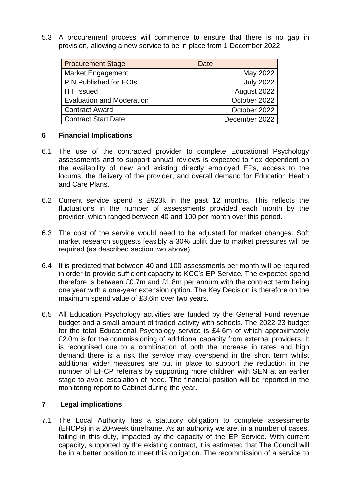5.3 A procurement process will commence to ensure that there is no gap in provision, allowing a new service to be in place from 1 December 2022.

| <b>Procurement Stage</b>         | Date             |
|----------------------------------|------------------|
| <b>Market Engagement</b>         | May 2022         |
| PIN Published for EOIs           | <b>July 2022</b> |
| <b>ITT Issued</b>                | August 2022      |
| <b>Evaluation and Moderation</b> | October 2022     |
| <b>Contract Award</b>            | October 2022     |
| <b>Contract Start Date</b>       | December 2022    |

### **6 Financial Implications**

- 6.1 The use of the contracted provider to complete Educational Psychology assessments and to support annual reviews is expected to flex dependent on the availability of new and existing directly employed EPs, access to the locums, the delivery of the provider, and overall demand for Education Health and Care Plans.
- 6.2 Current service spend is £923k in the past 12 months. This reflects the fluctuations in the number of assessments provided each month by the provider, which ranged between 40 and 100 per month over this period.
- 6.3 The cost of the service would need to be adjusted for market changes. Soft market research suggests feasibly a 30% uplift due to market pressures will be required (as described section two above).
- 6.4 It is predicted that between 40 and 100 assessments per month will be required in order to provide sufficient capacity to KCC's EP Service. The expected spend therefore is between £0.7m and £1.8m per annum with the contract term being one year with a one-year extension option. The Key Decision is therefore on the maximum spend value of £3.6m over two years.
- 6.5 All Education Psychology activities are funded by the General Fund revenue budget and a small amount of traded activity with schools. The 2022-23 budget for the total Educational Psychology service is £4.6m of which approximately £2.0m is for the commissioning of additional capacity from external providers. It is recognised due to a combination of both the increase in rates and high demand there is a risk the service may overspend in the short term whilst additional wider measures are put in place to support the reduction in the number of EHCP referrals by supporting more children with SEN at an earlier stage to avoid escalation of need. The financial position will be reported in the monitoring report to Cabinet during the year.

## **7 Legal implications**

7.1 The Local Authority has a statutory obligation to complete assessments (EHCPs) in a 20-week timeframe. As an authority we are, in a number of cases, failing in this duty, impacted by the capacity of the EP Service. With current capacity, supported by the existing contract, it is estimated that The Council will be in a better position to meet this obligation. The recommission of a service to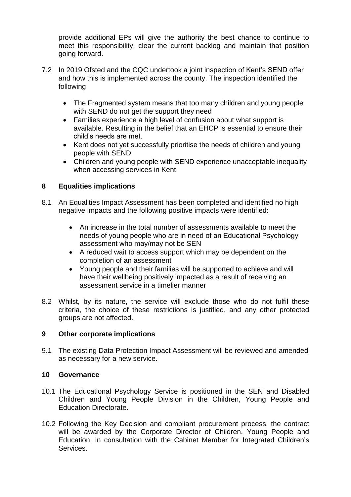provide additional EPs will give the authority the best chance to continue to meet this responsibility, clear the current backlog and maintain that position going forward.

- 7.2 In 2019 Ofsted and the CQC undertook a joint inspection of Kent's SEND offer and how this is implemented across the county. The inspection identified the following
	- The Fragmented system means that too many children and young people with SEND do not get the support they need
	- Families experience a high level of confusion about what support is available. Resulting in the belief that an EHCP is essential to ensure their child's needs are met.
	- Kent does not yet successfully prioritise the needs of children and young people with SEND.
	- Children and young people with SEND experience unacceptable inequality when accessing services in Kent

## **8 Equalities implications**

- 8.1 An Equalities Impact Assessment has been completed and identified no high negative impacts and the following positive impacts were identified:
	- An increase in the total number of assessments available to meet the needs of young people who are in need of an Educational Psychology assessment who may/may not be SEN
	- A reduced wait to access support which may be dependent on the completion of an assessment
	- Young people and their families will be supported to achieve and will have their wellbeing positively impacted as a result of receiving an assessment service in a timelier manner
- 8.2 Whilst, by its nature, the service will exclude those who do not fulfil these criteria, the choice of these restrictions is justified, and any other protected groups are not affected.

#### **9 Other corporate implications**

9.1 The existing Data Protection Impact Assessment will be reviewed and amended as necessary for a new service.

#### **10 Governance**

- 10.1 The Educational Psychology Service is positioned in the SEN and Disabled Children and Young People Division in the Children, Young People and Education Directorate.
- 10.2 Following the Key Decision and compliant procurement process, the contract will be awarded by the Corporate Director of Children, Young People and Education, in consultation with the Cabinet Member for Integrated Children's **Services**